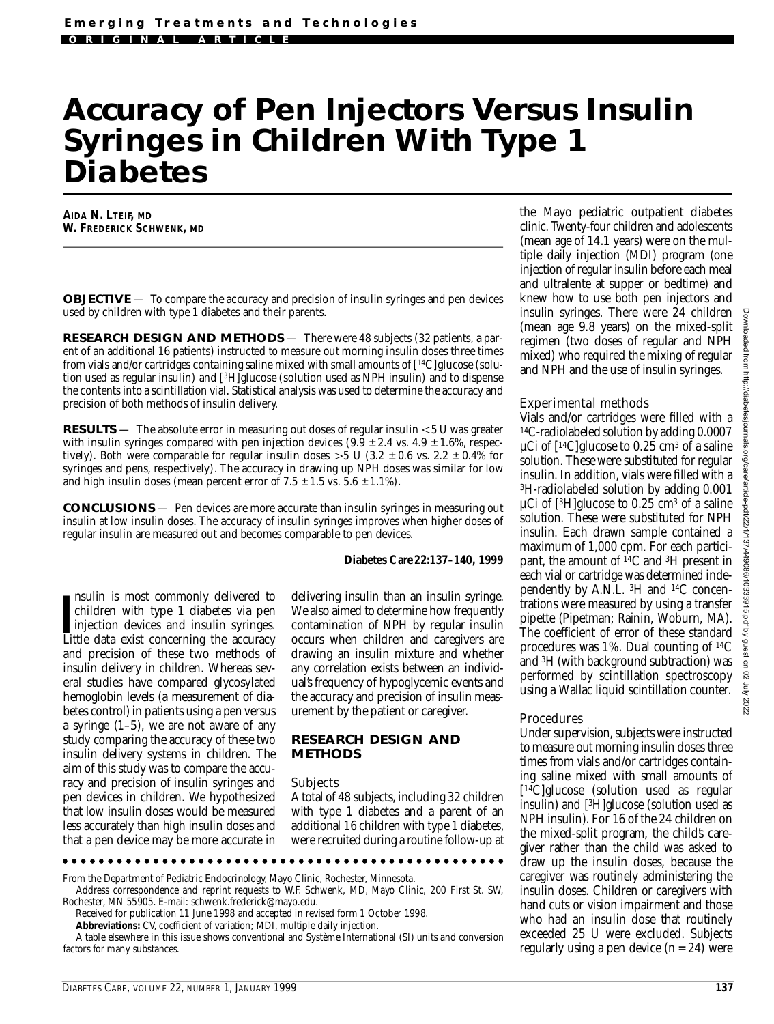# **Accuracy of Pen Injectors Versus Insulin Syringes in Children With Type 1 Diabetes**

**AIDA N. LTEIF, MD W. FREDERICK SCHWENK, MD**

**OBJECTIVE** — To compare the accuracy and precision of insulin syringes and pen devices used by children with type 1 diabetes and their parents.

**RESEARCH DESIGN AND METHODS** — There were 48 subjects (32 patients, a parent of an additional 16 patients) instructed to measure out morning insulin doses three times from vials and/or cartridges containing saline mixed with small amounts of  $[14C]$ glucose (solution used as regular insulin) and [3H]glucose (solution used as NPH insulin) and to dispense the contents into a scintillation vial. Statistical analysis was used to determine the accuracy and p recision of both methods of insulin delivery.

**RESULTS** — The absolute error in measuring out doses of regular insulin <5 U was greater with insulin syringes compared with pen injection devices  $(9.9 \pm 2.4 \text{ vs. } 4.9 \pm 1.6\%$ , respectively). Both were comparable for regular insulin doses  $>5$  U (3.2  $\pm$  0.6 vs. 2.2  $\pm$  0.4% for syringes and pens, respectively). The accuracy in drawing up NPH doses was similar for low and high insulin doses (mean percent error of  $7.5 \pm 1.5$  vs.  $5.6 \pm 1.1$ %).

**CONCLUSIONS** — Pen devices are more accurate than insulin syringes in measuring out insulin at low insulin doses. The accuracy of insulin syringes improves when higher doses of regular insulin are measured out and becomes comparable to pen devices.

#### *Diabetes Care***22:137–140, 1999**

Insulin is most commonly delivered to children with type 1 diabetes via pen injection devices and insulin syringes.<br>Little data exist concerning the accuracy nsulin is most commonly delivered to children with type 1 diabetes via pen injection devices and insulin syringes. and precision of these two methods of insulin delivery in children. Whereas several studies have compared glycosylated hemoglobin levels (a measurement of diabetes control) in patients using a pen versus a syringe  $(1-5)$ , we are not aware of any study comparing the accuracy of these two insulin delivery systems in children. The aim of this study was to compare the accuracy and precision of insulin syringes and pen devices in children. We hypothesized that low insulin doses would be measured less accurately than high insulin doses and that a pen device may be more accurate in

delivering insulin than an insulin syringe. We also aimed to determine how frequently contamination of NPH by regular insulin occurs when children and caregivers are drawing an insulin mixture and whether any correlation exists between an individual's frequency of hypoglycemic events and the accuracy and precision of insulin measurement by the patient or caregiver.

## **RESEARCH DESIGN AND METHODS**

#### Subjects

A total of 48 subjects, including 32 children with type 1 diabetes and a parent of an additional 16 children with type 1 diabetes, were recruited during a routine follow-up at

From the Department of Pediatric Endocrinology, Mayo Clinic, Rochester, Minnesota.

Address correspondence and reprint requests to W.F. Schwenk, MD, Mayo Clinic, 200 First St. SW, Rochester, MN 55905. E-mail: schwenk.frederick@mayo.edu.

Received for publication 11 June 1998 and accepted in revised form 1 October 1998.

Abbreviations: CV, coefficient of variation; MDI, multiple daily injection.

A table elsewhere in this issue shows conventional and Système International (SI) units and conversion factors for many substances.

the Mayo pediatric outpatient diabetes clinic. Twenty-four children and adolescents (mean age of 14.1 years) were on the multiple daily injection (MDI) program (one injection of regular insulin before each meal and ultralente at supper or bedtime) and knew how to use both pen injectors and insulin syringes. There were 24 children (mean age 9.8 years) on the mixed-split regimen (two doses of regular and NPH mixed) who required the mixing of regular and NPH and the use of insulin syringes.

## Experimental methods

Vials and/or cartridges were filled with a 1 4C-radiolabeled solution by adding 0.0007  $\mu$ Ci of [<sup>14</sup>C]glucose to 0.25 cm<sup>3</sup> of a saline solution. These were substituted for regular insulin. In addition, vials were filled with a <sup>3</sup>H-radiolabeled solution by adding 0.001  $\mu$ Ci of [<sup>3</sup>H]glucose to 0.25 cm<sup>3</sup> of a saline solution. These were substituted for NPH insulin. Each drawn sample contained a maximum of 1,000 cpm. For each participant, the amount of  $^{14}C$  and  $^{3}H$  present in each vial or cartridge was determined independently by A.N.L.  $^{3}H$  and  $^{14}C$  concentrations were measured by using a transfer pipette (Pipetman; Rainin, Woburn, MA). The coefficient of error of these standard procedures was 1%. Dual counting of  ${}^{14}C$ and 3H (with background subtraction) was performed by scintillation spectroscopy using a Wallac liquid scintillation counter.

## **Procedures**

Under supervision, subjects were instructed to measure out morning insulin doses three times from vials and/or cartridges containing saline mixed with small amounts of [<sup>14</sup>C]glucose (solution used as regular insulin) and [3H]glucose (solution used as NPH insulin). For 16 of the 24 children on the mixed-split program, the child's caregiver rather than the child was asked to draw up the insulin doses, because the caregiver was routinely administering the insulin doses. Children or caregivers with hand cuts or vision impairment and those who had an insulin dose that routinely exceeded 25 U were excluded. Subjects regularly using a pen device (*n* = 24) were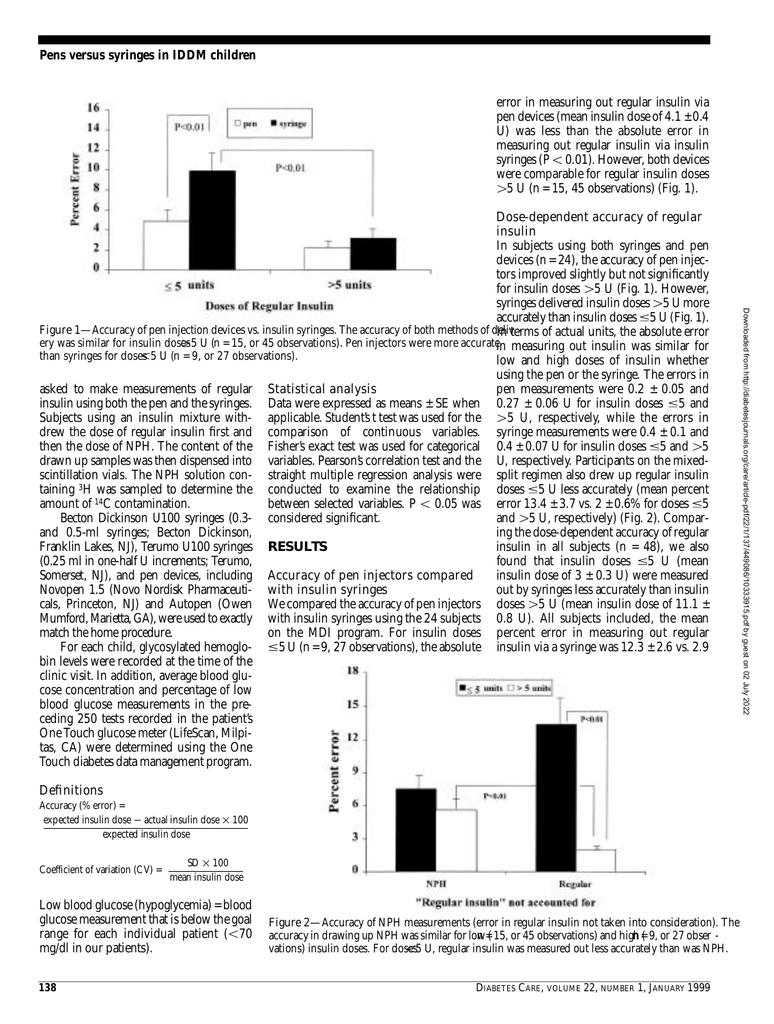

error in measuring out regular insulin via pen devices (mean insulin dose of  $4.1 \pm 0.4$ U) was less than the absolute error in measuring out regular insulin via insulin syringes  $(P < 0.01)$ . However, both devices were comparable for regular insulin doses  $>$  5 U ( $n$  = 15, 45 observations) (Fig. 1).

## Dose-dependent accuracy of regular insulin

In subjects using both syringes and pen devices  $(n = 24)$ , the accuracy of pen injectors improved slightly but not significantly for insulin doses  $>5$  U (Fig. 1). However, syringes delivered insulin doses  $>5$  U more accurately than insulin doses  $\leq$  5 U (Fig. 1).

**Figure 1**—Accuracy of pen injection devices vs. insulin syringes. The accuracy of both methods of deliverms of actual units, the absolute error ery was similar for insulin doses 5 U (n = 15, or 45 observations). Pen injectors were more accurate<sub>n measuring</sub> out insulin was similar for low and high doses of insulin whether *than syringes for doses 5 U (*n *= 9, or 27 observations).*

asked to make measurements of regular insulin using both the pen and the syringes. Subjects using an insulin mixture withdrew the dose of regular insulin first and then the dose of NPH. The content of the drawn up samples was then dispensed into scintillation vials. The NPH solution containing 3H was sampled to determine the amount of <sup>14</sup>C contamination.

Becton Dickinson U100 syringes (0.3 and 0.5-ml syringes; Becton Dickinson, Franklin Lakes, NJ), Terumo U100 syringes  $(0.25 \text{ ml in one-half U increments};$  Terumo, Somerset, NJ), and pen devices, including Novopen 1.5 (Novo Nordisk Pharmaceuticals, Princeton, NJ) and Autopen (Owen Mumford, Marietta, GA), were used to exactly match the home procedure.

For each child, glycosylated hemoglobin levels were recorded at the time of the clinic visit. In addition, average blood glucose concentration and percentage of low blood glucose measurements in the preceding 250 tests recorded in the patient's One Touch glucose meter (LifeScan, Milpitas, CA) were determined using the One Touch diabetes data management program.

## Definitions

Accuracy (% error) =

expected insulin dose  $-$  actual insulin dose  $\times$  100 expected insulin dose

Coefficient of variation  $(CV) = \frac{SD \times 100}{100}$ mean insulin dose

Low blood glucose (hypoglycemia) = blood glucose measurement that is below the goal range for each individual patient  $\approx$  70 mg/dl in our patients).

## Statistical analysis

Data were expressed as means  $\pm$  SE when applicable. Student's*t* test was used for the comparison of continuous variables. Fisher's exact test was used for categorical variables. Pearson's correlation test and the straight multiple regression analysis were conducted to examine the relationship between selected variables.  $P < 0.05$  was considered significant.

## **RESULTS**

#### Accuracy of pen injectors compared with insulin syringes

We compared the accuracy of pen injectors with insulin syringes using the 24 subjects on the MDI program. For insulin doses  $\leq$  5 U (*n* = 9, 27 observations), the absolute





Figure 2—*Accuracy of NPH measurements (error in regular insulin not taken into consideration). The accuracy in drawing up NPH was similar for low*  $(15, or 45$  *observations) and high*  $(9, or 27$  *obser vations) insulin doses. For doses 5 U, regular insulin was measured out less accurately than was NPH.*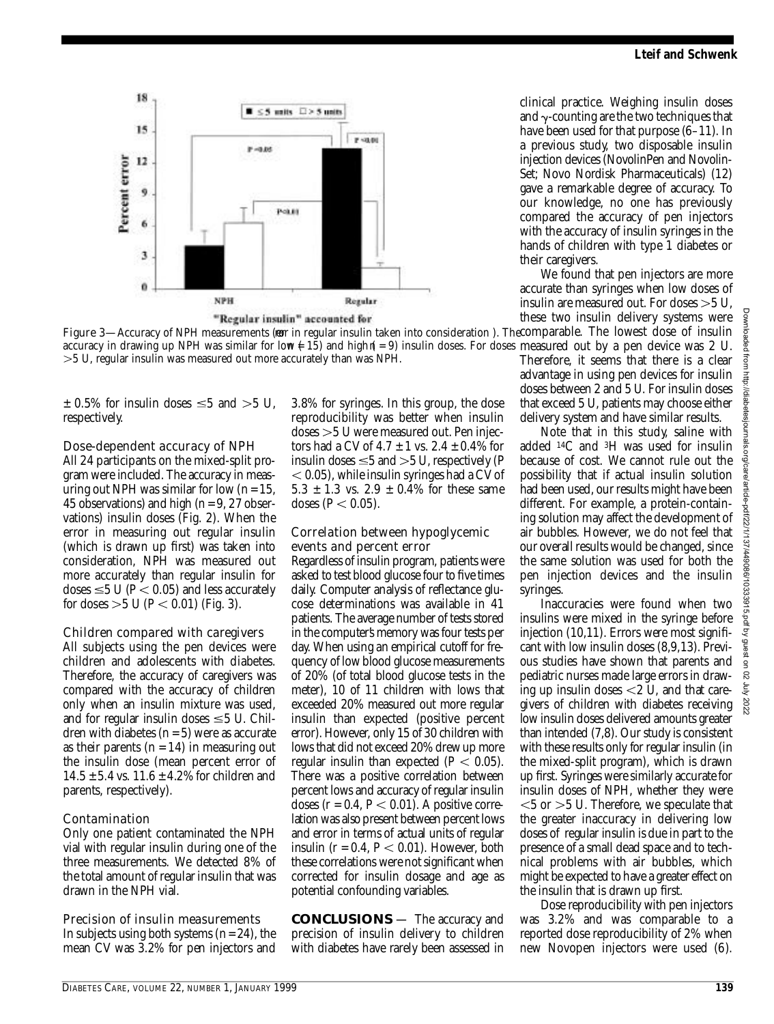

**Figure 3—**Accuracy of NPH measurements (**eo**r in regular insulin taken into consideration ). The $\rm{comparable}$ . The <code>lowest</code> dose <code>of</code> insulin accuracy in drawing up NPH was similar for low  $\neq 15$ ) and highn( $= 9$ ) insulin doses. For doses measured out by a pen device was 2 U. *5 U, regular insulin was measured out more accurately than was NPH.*

 $\pm$  0.5% for insulin doses  $\leq$ 5 and  $>$ 5 U, respectively.

# Dose-dependent accuracy of NPH

All 24 participants on the mixed-split program were included. The accuracy in measuring out NPH was similar for low  $(n = 15)$ , 45 observations) and high (*n* = 9, 27 observations) insulin doses (Fig. 2). When the error in measuring out regular insulin (which is drawn up first) was taken into consideration, NPH was measured out more accurately than regular insulin for doses  $\leq$  5 U (*P*  $<$  0.05) and less accurately for doses  $> 5$  U ( $P < 0.01$ ) (Fig. 3).

# Children compared with caregivers

All subjects using the pen devices were children and adolescents with diabetes. Therefore, the accuracy of caregivers was compared with the accuracy of children only when an insulin mixture was used, and for regular insulin doses  $\leq$  5 U. Children with diabetes  $(n = 5)$  were as accurate as their parents  $(n = 14)$  in measuring out the insulin dose (mean percent error of  $14.5 \pm 5.4$  vs.  $11.6 \pm 4.2\%$  for children and parents, respectively).

# Contamination

Only one patient contaminated the NPH vial with regular insulin during one of the three measurements. We detected 8% of the total amount of regular insulin that was drawn in the NPH vial.

# Precision of insulin measurements

In subjects using both systems (*n*= 24), the mean CV was 3.2% for pen injectors and 3.8% for syringes. In this group, the dose reproducibility was better when insulin doses 5 U were measured out. Pen injectors had a CV of  $4.7 \pm 1$  vs.  $2.4 \pm 0.4\%$  for insulin doses  $\leq$  5 and  $>$  5 U, respectively (*P*  $<$  0.05), while insulin syringes had a CV of  $5.3 \pm 1.3$  vs.  $2.9 \pm 0.4\%$  for these same doses ( $P < 0.05$ ).

## Correlation between hypoglycemic events and percent error

Regardless of insulin program, patients were asked to test blood glucose four to five times daily. Computer analysis of reflectance glucose determinations was available in 41 patients. The average number of tests stored in the computer's memory was four tests per day. When using an empirical cutoff for frequency of low blood glucose measurements of 20% (of total blood glucose tests in the meter), 10 of 11 children with lows that exceeded 20% measured out more regular insulin than expected (positive percent error). However, only 15 of 30 children with lows that did not exceed 20% drew up more regular insulin than expected  $(P < 0.05)$ . There was a positive correlation between percent lows and accuracy of regular insulin doses  $(r = 0.4, P \le 0.01)$ . A positive correlation was also present between percent lows and error in terms of actual units of regular insulin  $(r = 0.4, P < 0.01)$ . However, both these correlations were not significant when corrected for insulin dosage and age as potential confounding variables.

**CONCLUSIONS** — The accuracy and precision of insulin delivery to children with diabetes have rarely been assessed in

clinical practice. Weighing insulin doses and  $\gamma$ -counting are the two techniques that have been used for that purpose  $(6-11)$ . In a previous study, two disposable insulin injection devices (NovolinPen and Novolin-Set; Novo Nordisk Pharmaceuticals) (12) gave a remarkable degree of accuracy. To our knowledge, no one has previously compared the accuracy of pen injectors with the accuracy of insulin syringes in the hands of children with type 1 diabetes or their caregivers.

We found that pen injectors are more accurate than syringes when low doses of insulin are measured out. For doses  $>5$  U, these two insulin delivery systems were

Therefore, it seems that there is a clear advantage in using pen devices for insulin doses between 2 and 5 U. For insulin doses that exceed 5 U, patients may choose either delivery system and have similar results.

Note that in this study, saline with added  $^{14}C$  and  $^{3}H$  was used for insulin because of cost. We cannot rule out the possibility that if actual insulin solution had been used, our results might have been different. For example, a protein-containing solution may affect the development of air bubbles. However, we do not feel that our overall results would be changed, since the same solution was used for both the pen injection devices and the insulin s yringes.

Inaccuracies were found when two insulins were mixed in the syringe before injection (10,11). Errors were most significant with low insulin doses  $(8,9,13)$ . Previous studies have shown that parents and pediatric nurses made large errors in drawing up insulin doses  $<$  2 U, and that caregivers of children with diabetes receiving low insulin doses delivered amounts greater than intended (7,8). Our study is consistent with these results only for regular insulin (in the mixed-split program), which is drawn up first. Syringes were similarly accurate for insulin doses of NPH, whether they were  $<$  5 or  $>$  5 U. Therefore, we speculate that the greater inaccuracy in delivering low doses of regular insulin is due in part to the presence of a small dead space and to technical problems with air bubbles, which might be expected to have a greater effect on the insulin that is drawn up first.

Dose reproducibility with pen injectors was 3.2% and was comparable to a reported dose reproducibility of 2% when new Novopen injectors were used (6).